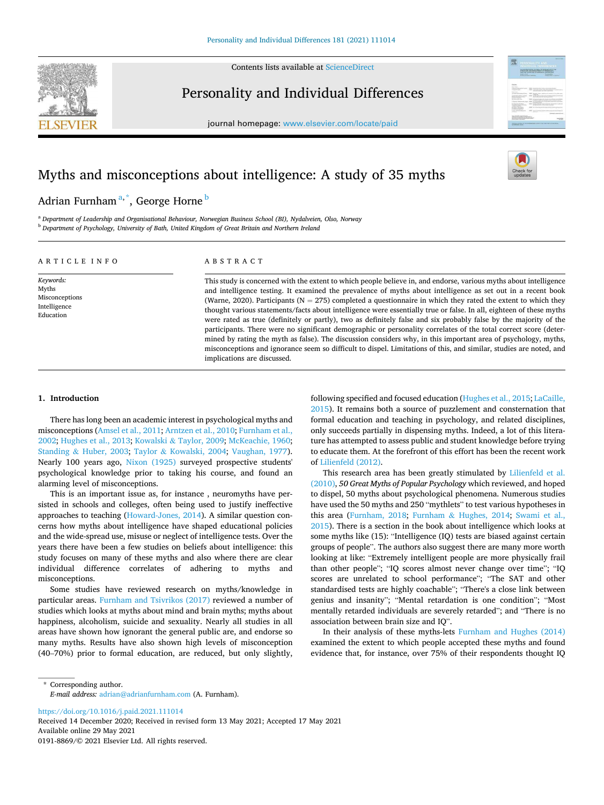Contents lists available at [ScienceDirect](www.sciencedirect.com/science/journal/01918869)



Personality and Individual Differences

journal homepage: [www.elsevier.com/locate/paid](https://www.elsevier.com/locate/paid)

# Myths and misconceptions about intelligence: A study of 35 myths

## Adrian Furnham <sup>a, \*</sup>, George Horne <sup>b</sup>

<sup>a</sup> *Department of Leadership and Organisational Behaviour, Norwegian Business School (BI), Nydalveien, Olso, Norway*  <sup>b</sup> *Department of Psychology, University of Bath, United Kingdom of Great Britain and Northern Ireland* 

## A R T I C L E I N F O

*Keywords:*  Myths Misconceptions Intelligence Education

## ABSTRACT

This study is concerned with the extent to which people believe in, and endorse, various myths about intelligence and intelligence testing. It examined the prevalence of myths about intelligence as set out in a recent book (Warne, 2020). Participants ( $N = 275$ ) completed a questionnaire in which they rated the extent to which they thought various statements/facts about intelligence were essentially true or false. In all, eighteen of these myths were rated as true (definitely or partly), two as definitely false and six probably false by the majority of the participants. There were no significant demographic or personality correlates of the total correct score (determined by rating the myth as false). The discussion considers why, in this important area of psychology, myths, misconceptions and ignorance seem so difficult to dispel. Limitations of this, and similar, studies are noted, and implications are discussed.

## **1. Introduction**

There has long been an academic interest in psychological myths and misconceptions ([Amsel et al., 2011; Arntzen et al., 2010; Furnham et al.,](#page-4-0)  [2002; Hughes et al., 2013;](#page-4-0) Kowalski & [Taylor, 2009](#page-4-0); [McKeachie, 1960](#page-4-0); Standing & [Huber, 2003;](#page-4-0) Taylor & [Kowalski, 2004](#page-5-0); [Vaughan, 1977](#page-5-0)). Nearly 100 years ago, [Nixon \(1925\)](#page-4-0) surveyed prospective students' psychological knowledge prior to taking his course, and found an alarming level of misconceptions.

This is an important issue as, for instance , neuromyths have persisted in schools and colleges, often being used to justify ineffective approaches to teaching [\(Howard-Jones, 2014](#page-4-0)). A similar question concerns how myths about intelligence have shaped educational policies and the wide-spread use, misuse or neglect of intelligence tests. Over the years there have been a few studies on beliefs about intelligence: this study focuses on many of these myths and also where there are clear individual difference correlates of adhering to myths and misconceptions.

Some studies have reviewed research on myths/knowledge in particular areas. [Furnham and Tsivrikos \(2017\)](#page-4-0) reviewed a number of studies which looks at myths about mind and brain myths; myths about happiness, alcoholism, suicide and sexuality. Nearly all studies in all areas have shown how ignorant the general public are, and endorse so many myths. Results have also shown high levels of misconception (40–70%) prior to formal education, are reduced, but only slightly, following specified and focused education ([Hughes et al., 2015](#page-4-0); [LaCaille,](#page-4-0)  [2015\)](#page-4-0). It remains both a source of puzzlement and consternation that formal education and teaching in psychology, and related disciplines, only succeeds partially in dispensing myths. Indeed, a lot of this literature has attempted to assess public and student knowledge before trying to educate them. At the forefront of this effort has been the recent work of [Lilienfeld \(2012\)](#page-4-0).

This research area has been greatly stimulated by [Lilienfeld et al.](#page-4-0)  [\(2010\),](#page-4-0) *50 Great Myths of Popular Psychology* which reviewed, and hoped to dispel, 50 myths about psychological phenomena. Numerous studies have used the 50 myths and 250 "mythlets" to test various hypotheses in this area [\(Furnham, 2018](#page-4-0); Furnham & [Hughes, 2014;](#page-4-0) [Swami et al.,](#page-4-0)  [2015\)](#page-4-0). There is a section in the book about intelligence which looks at some myths like (15): "Intelligence (IQ) tests are biased against certain groups of people". The authors also suggest there are many more worth looking at like: "Extremely intelligent people are more physically frail than other people"; "IQ scores almost never change over time"; "IQ scores are unrelated to school performance"; "The SAT and other standardised tests are highly coachable"; "There's a close link between genius and insanity"; "Mental retardation is one condition"; "Most mentally retarded individuals are severely retarded"; and "There is no association between brain size and IQ".

In their analysis of these myths-lets [Furnham and Hughes \(2014\)](#page-4-0)  examined the extent to which people accepted these myths and found evidence that, for instance, over 75% of their respondents thought IQ

\* Corresponding author. *E-mail address:* [adrian@adrianfurnham.com](mailto:adrian@adrianfurnham.com) (A. Furnham).

<https://doi.org/10.1016/j.paid.2021.111014>

Available online 29 May 2021 0191-8869/© 2021 Elsevier Ltd. All rights reserved. Received 14 December 2020; Received in revised form 13 May 2021; Accepted 17 May 2021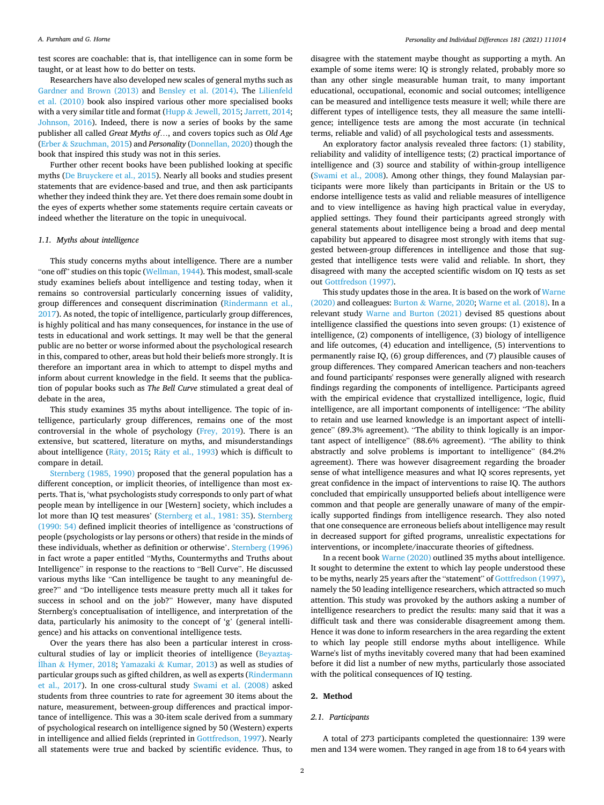test scores are coachable: that is, that intelligence can in some form be taught, or at least how to do better on tests.

Researchers have also developed new scales of general myths such as [Gardner and Brown \(2013\)](#page-4-0) and [Bensley et al. \(2014\)](#page-4-0). The [Lilienfeld](#page-4-0)  [et al. \(2010\)](#page-4-0) book also inspired various other more specialised books with a very similar title and format (Hupp & [Jewell, 2015](#page-4-0); [Jarrett, 2014](#page-4-0); [Johnson, 2016\)](#page-4-0). Indeed, there is now a series of books by the same publisher all called *Great Myths of*…, and covers topics such as *Old Age*  (Erber & [Szuchman, 2015](#page-4-0)) and *Personality* [\(Donnellan, 2020](#page-4-0)) though the book that inspired this study was not in this series.

Further other recent books have been published looking at specific myths [\(De Bruyckere et al., 2015\)](#page-4-0). Nearly all books and studies present statements that are evidence-based and true, and then ask participants whether they indeed think they are. Yet there does remain some doubt in the eyes of experts whether some statements require certain caveats or indeed whether the literature on the topic in unequivocal.

#### *1.1. Myths about intelligence*

This study concerns myths about intelligence. There are a number "one off" studies on this topic ([Wellman, 1944](#page-5-0)). This modest, small-scale study examines beliefs about intelligence and testing today, when it remains so controversial particularly concerning issues of validity, group differences and consequent discrimination ([Rindermann et al.,](#page-4-0)  [2017\)](#page-4-0). As noted, the topic of intelligence, particularly group differences, is highly political and has many consequences, for instance in the use of tests in educational and work settings. It may well be that the general public are no better or worse informed about the psychological research in this, compared to other, areas but hold their beliefs more strongly. It is therefore an important area in which to attempt to dispel myths and inform about current knowledge in the field. It seems that the publication of popular books such as *The Bell Curve* stimulated a great deal of debate in the area,

This study examines 35 myths about intelligence. The topic of intelligence, particularly group differences, remains one of the most controversial in the whole of psychology ([Frey, 2019\)](#page-4-0). There is an extensive, but scattered, literature on myths, and misunderstandings about intelligence (Räty, 2015; Räty et al., 1993) which is difficult to compare in detail.

[Sternberg \(1985, 1990\)](#page-4-0) proposed that the general population has a different conception, or implicit theories, of intelligence than most experts. That is, 'what psychologists study corresponds to only part of what people mean by intelligence in our [Western] society, which includes a lot more than IQ test measures' ([Sternberg et al., 1981: 35\)](#page-4-0). [Sternberg](#page-4-0)  [\(1990: 54\)](#page-4-0) defined implicit theories of intelligence as 'constructions of people (psychologists or lay persons or others) that reside in the minds of these individuals, whether as definition or otherwise'. [Sternberg \(1996\)](#page-4-0)  in fact wrote a paper entitled "Myths, Countermyths and Truths about Intelligence" in response to the reactions to "Bell Curve". He discussed various myths like "Can intelligence be taught to any meaningful degree?" and "Do intelligence tests measure pretty much all it takes for success in school and on the job?" However, many have disputed Sternberg's conceptualisation of intelligence, and interpretation of the data, particularly his animosity to the concept of 'g' (general intelligence) and his attacks on conventional intelligence tests.

Over the years there has also been a particular interest in crosscultural studies of lay or implicit theories of intelligence (Beyaztaş-˙Ilhan & [Hymer, 2018](#page-4-0); Yamazaki & [Kumar, 2013](#page-5-0)) as well as studies of particular groups such as gifted children, as well as experts [\(Rindermann](#page-4-0)  [et al., 2017\)](#page-4-0). In one cross-cultural study [Swami et al. \(2008\)](#page-4-0) asked students from three countries to rate for agreement 30 items about the nature, measurement, between-group differences and practical importance of intelligence. This was a 30-item scale derived from a summary of psychological research on intelligence signed by 50 (Western) experts in intelligence and allied fields (reprinted in [Gottfredson, 1997\)](#page-4-0). Nearly all statements were true and backed by scientific evidence. Thus, to

disagree with the statement maybe thought as supporting a myth. An example of some items were: IQ is strongly related, probably more so than any other single measurable human trait, to many important educational, occupational, economic and social outcomes; intelligence can be measured and intelligence tests measure it well; while there are different types of intelligence tests, they all measure the same intelligence; intelligence tests are among the most accurate (in technical terms, reliable and valid) of all psychological tests and assessments.

An exploratory factor analysis revealed three factors: (1) stability, reliability and validity of intelligence tests; (2) practical importance of intelligence and (3) source and stability of within-group intelligence ([Swami et al., 2008\)](#page-4-0). Among other things, they found Malaysian participants were more likely than participants in Britain or the US to endorse intelligence tests as valid and reliable measures of intelligence and to view intelligence as having high practical value in everyday, applied settings. They found their participants agreed strongly with general statements about intelligence being a broad and deep mental capability but appeared to disagree most strongly with items that suggested between-group differences in intelligence and those that suggested that intelligence tests were valid and reliable. In short, they disagreed with many the accepted scientific wisdom on IQ tests as set out [Gottfredson \(1997\)](#page-4-0).

This study updates those in the area. It is based on the work of [Warne](#page-5-0)  [\(2020\)](#page-5-0) and colleagues: Burton & [Warne, 2020;](#page-4-0) [Warne et al. \(2018\)](#page-5-0). In a relevant study [Warne and Burton \(2021\)](#page-5-0) devised 85 questions about intelligence classified the questions into seven groups: (1) existence of intelligence, (2) components of intelligence, (3) biology of intelligence and life outcomes, (4) education and intelligence, (5) interventions to permanently raise IQ, (6) group differences, and (7) plausible causes of group differences. They compared American teachers and non-teachers and found participants' responses were generally aligned with research findings regarding the components of intelligence. Participants agreed with the empirical evidence that crystallized intelligence, logic, fluid intelligence, are all important components of intelligence: "The ability to retain and use learned knowledge is an important aspect of intelligence" (89.3% agreement). "The ability to think logically is an important aspect of intelligence" (88.6% agreement). "The ability to think abstractly and solve problems is important to intelligence" (84.2% agreement). There was however disagreement regarding the broader sense of what intelligence measures and what IQ scores represents, yet great confidence in the impact of interventions to raise IQ. The authors concluded that empirically unsupported beliefs about intelligence were common and that people are generally unaware of many of the empirically supported findings from intelligence research. They also noted that one consequence are erroneous beliefs about intelligence may result in decreased support for gifted programs, unrealistic expectations for interventions, or incomplete/inaccurate theories of giftedness.

In a recent book [Warne \(2020\)](#page-5-0) outlined 35 myths about intelligence. It sought to determine the extent to which lay people understood these to be myths, nearly 25 years after the "statement" of [Gottfredson \(1997\)](#page-4-0), namely the 50 leading intelligence researchers, which attracted so much attention. This study was provoked by the authors asking a number of intelligence researchers to predict the results: many said that it was a difficult task and there was considerable disagreement among them. Hence it was done to inform researchers in the area regarding the extent to which lay people still endorse myths about intelligence. While Warne's list of myths inevitably covered many that had been examined before it did list a number of new myths, particularly those associated with the political consequences of IQ testing.

#### **2. Method**

## *2.1. Participants*

A total of 273 participants completed the questionnaire: 139 were men and 134 were women. They ranged in age from 18 to 64 years with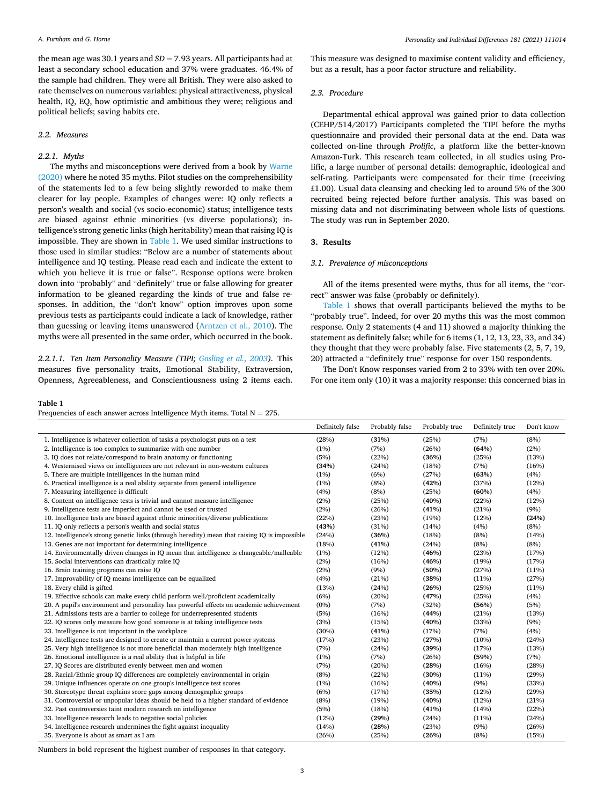the mean age was 30.1 years and *SD* = 7.93 years. All participants had at least a secondary school education and 37% were graduates. 46.4% of the sample had children. They were all British. They were also asked to rate themselves on numerous variables: physical attractiveness, physical health, IQ, EQ, how optimistic and ambitious they were; religious and political beliefs; saving habits etc.

## *2.2. Measures*

#### *2.2.1. Myths*

The myths and misconceptions were derived from a book by [Warne](#page-5-0)  [\(2020\)](#page-5-0) where he noted 35 myths. Pilot studies on the comprehensibility of the statements led to a few being slightly reworded to make them clearer for lay people. Examples of changes were: IQ only reflects a person's wealth and social (vs socio-economic) status; intelligence tests are biased against ethnic minorities (vs diverse populations); intelligence's strong genetic links (high heritability) mean that raising IQ is impossible. They are shown in Table 1. We used similar instructions to those used in similar studies: "Below are a number of statements about intelligence and IQ testing. Please read each and indicate the extent to which you believe it is true or false". Response options were broken down into "probably" and "definitely" true or false allowing for greater information to be gleaned regarding the kinds of true and false responses. In addition, the "don't know" option improves upon some previous tests as participants could indicate a lack of knowledge, rather than guessing or leaving items unanswered ([Arntzen et al., 2010\)](#page-4-0). The myths were all presented in the same order, which occurred in the book.

*2.2.1.1. Ten Item Personality Measure (TIPI; [Gosling et al., 2003](#page-4-0)).* This measures five personality traits, Emotional Stability, Extraversion, Openness, Agreeableness, and Conscientiousness using 2 items each.

### **Table 1**

Frequencies of each answer across Intelligence Myth items. Total  $N = 275$ .

This measure was designed to maximise content validity and efficiency, but as a result, has a poor factor structure and reliability.

#### *2.3. Procedure*

Departmental ethical approval was gained prior to data collection (CEHP/514/2017) Participants completed the TIPI before the myths questionnaire and provided their personal data at the end. Data was collected on-line through *Prolific*, a platform like the better-known Amazon-Turk. This research team collected, in all studies using Prolific, a large number of personal details: demographic, ideological and self-rating. Participants were compensated for their time (receiving £1.00). Usual data cleansing and checking led to around 5% of the 300 recruited being rejected before further analysis. This was based on missing data and not discriminating between whole lists of questions. The study was run in September 2020.

## **3. Results**

#### *3.1. Prevalence of misconceptions*

All of the items presented were myths, thus for all items, the "correct" answer was false (probably or definitely).

Table 1 shows that overall participants believed the myths to be "probably true". Indeed, for over 20 myths this was the most common response. Only 2 statements (4 and 11) showed a majority thinking the statement as definitely false; while for 6 items (1, 12, 13, 23, 33, and 34) they thought that they were probably false. Five statements (2, 5, 7, 19, 20) attracted a "definitely true" response for over 150 respondents.

The Don't Know responses varied from 2 to 33% with ten over 20%. For one item only (10) it was a majority response: this concerned bias in

| 1. Intelligence is whatever collection of tasks a psychologist puts on a test<br>(28%)<br>(31%)<br>(25%)<br>(7%)<br>(8%)<br>2. Intelligence is too complex to summarize with one number<br>(7%)<br>(26%)<br>(64%)<br>(2%)<br>(1%)<br>3. IQ does not relate/correspond to brain anatomy or functioning<br>(5%)<br>(22%)<br>(36%)<br>(25%)<br>(13%)<br>4. Westernised views on intelligences are not relevant in non-western cultures<br>(24%)<br>(18%)<br>(7%)<br>(16%)<br>(34%)<br>5. There are multiple intelligences in the human mind<br>(63%)<br>(4%)<br>(1%)<br>(6%)<br>(27%)<br>6. Practical intelligence is a real ability separate from general intelligence<br>(37%)<br>(12%)<br>(1%)<br>(8%)<br>(42%)<br>7. Measuring intelligence is difficult<br>(4%)<br>(8%)<br>(25%)<br>(60%)<br>(4%)<br>8. Content on intelligence tests is trivial and cannot measure intelligence<br>(40%)<br>(22%)<br>(12%)<br>(2%)<br>(25%)<br>9. Intelligence tests are imperfect and cannot be used or trusted<br>(2%)<br>(26%)<br>(41%)<br>(21%)<br>(9%)<br>10. Intelligence tests are biased against ethnic minorities/diverse publications<br>(23%)<br>(22%)<br>(19%)<br>(12%)<br>(24%)<br>11. IQ only reflects a person's wealth and social status<br>(43%)<br>(31%)<br>(8%)<br>(14%)<br>(4%)<br>12. Intelligence's strong genetic links (through heredity) mean that raising IQ is impossible<br>(24%)<br>(36%)<br>(18%)<br>(8%)<br>(14%)<br>13. Genes are not important for determining intelligence<br>(18%)<br>(41%)<br>(8%)<br>(8%)<br>(24%)<br>14. Environmentally driven changes in IQ mean that intelligence is changeable/malleable<br>(1%)<br>(12%)<br>(46%)<br>(23%)<br>(17%)<br>15. Social interventions can drastically raise IQ<br>(2%)<br>(16%)<br>(46%)<br>(19%)<br>(17%)<br>16. Brain training programs can raise IQ<br>(2%)<br>(9%)<br>(27%)<br>(50%)<br>(11%)<br>17. Improvability of IQ means intelligence can be equalized<br>(4%)<br>(21%)<br>(38%)<br>(11%)<br>(27%)<br>18. Every child is gifted<br>(13%)<br>(26%)<br>(25%)<br>$(11\%)$<br>(24%)<br>19. Effective schools can make every child perform well/proficient academically<br>(6%)<br>(20%)<br>(47%)<br>(25%)<br>(4%)<br>20. A pupil's environment and personality has powerful effects on academic achievement<br>$(0\%)$<br>(7%)<br>(32%)<br>(56%)<br>(5%)<br>21. Admissions tests are a barrier to college for underrepresented students<br>(5%)<br>(16%)<br>(44%)<br>(21%)<br>(13%)<br>22. IQ scores only measure how good someone is at taking intelligence tests<br>(3%)<br>(15%)<br>(40%)<br>(33%)<br>(9%)<br>23. Intelligence is not important in the workplace<br>(30%)<br>(41%)<br>(17%)<br>(7%)<br>(4%)<br>24. Intelligence tests are designed to create or maintain a current power systems<br>(10%)<br>(17%)<br>(23%)<br>(27%)<br>(24%)<br>25. Very high intelligence is not more beneficial than moderately high intelligence<br>(17%)<br>(7%)<br>(24%)<br>(39%)<br>(13%)<br>26. Emotional intelligence is a real ability that is helpful in life<br>(7%)<br>(26%)<br>(59%)<br>(7%)<br>(1%)<br>27. IQ Scores are distributed evenly between men and women<br>(20%)<br>(28%)<br>(16%)<br>(28%)<br>(7%)<br>28. Racial/Ethnic group IQ differences are completely environmental in origin<br>(8%)<br>(22%)<br>(30%)<br>(11%)<br>(29%)<br>29. Unique influences operate on one group's intelligence test scores<br>(9%)<br>(33%)<br>(16%)<br>(40%)<br>(1%)<br>30. Stereotype threat explains score gaps among demographic groups<br>(12%)<br>(29%)<br>(6%)<br>(17%)<br>(35%)<br>31. Controversial or unpopular ideas should be held to a higher standard of evidence<br>(19%)<br>(12%)<br>(21%)<br>(8%)<br>(40%)<br>32. Past controversies taint modern research on intelligence<br>(5%)<br>(18%)<br>(14%)<br>(22%)<br>(41%)<br>33. Intelligence research leads to negative social policies<br>(12%)<br>(29%)<br>(11%)<br>(24%)<br>(24%)<br>34. Intelligence research undermines the fight against inequality<br>(14%)<br>(28%)<br>(23%)<br>(9%)<br>(26%)<br>35. Everyone is about as smart as I am<br>(25%)<br>(8%)<br>(15%)<br>(26%)<br>(26%) | Definitely false | Probably false | Probably true | Definitely true | Don't know |
|-------------------------------------------------------------------------------------------------------------------------------------------------------------------------------------------------------------------------------------------------------------------------------------------------------------------------------------------------------------------------------------------------------------------------------------------------------------------------------------------------------------------------------------------------------------------------------------------------------------------------------------------------------------------------------------------------------------------------------------------------------------------------------------------------------------------------------------------------------------------------------------------------------------------------------------------------------------------------------------------------------------------------------------------------------------------------------------------------------------------------------------------------------------------------------------------------------------------------------------------------------------------------------------------------------------------------------------------------------------------------------------------------------------------------------------------------------------------------------------------------------------------------------------------------------------------------------------------------------------------------------------------------------------------------------------------------------------------------------------------------------------------------------------------------------------------------------------------------------------------------------------------------------------------------------------------------------------------------------------------------------------------------------------------------------------------------------------------------------------------------------------------------------------------------------------------------------------------------------------------------------------------------------------------------------------------------------------------------------------------------------------------------------------------------------------------------------------------------------------------------------------------------------------------------------------------------------------------------------------------------------------------------------------------------------------------------------------------------------------------------------------------------------------------------------------------------------------------------------------------------------------------------------------------------------------------------------------------------------------------------------------------------------------------------------------------------------------------------------------------------------------------------------------------------------------------------------------------------------------------------------------------------------------------------------------------------------------------------------------------------------------------------------------------------------------------------------------------------------------------------------------------------------------------------------------------------------------------------------------------------------------------------------------------------------------------------------------------------------------------------------------------------------------------------------------------------------------------------------------------------------------------------------------------------------------------------------------------------------------------------------------------------------------------------------------------------------------------------------------------------------------|------------------|----------------|---------------|-----------------|------------|
|                                                                                                                                                                                                                                                                                                                                                                                                                                                                                                                                                                                                                                                                                                                                                                                                                                                                                                                                                                                                                                                                                                                                                                                                                                                                                                                                                                                                                                                                                                                                                                                                                                                                                                                                                                                                                                                                                                                                                                                                                                                                                                                                                                                                                                                                                                                                                                                                                                                                                                                                                                                                                                                                                                                                                                                                                                                                                                                                                                                                                                                                                                                                                                                                                                                                                                                                                                                                                                                                                                                                                                                                                                                                                                                                                                                                                                                                                                                                                                                                                                                                                                                                     |                  |                |               |                 |            |
|                                                                                                                                                                                                                                                                                                                                                                                                                                                                                                                                                                                                                                                                                                                                                                                                                                                                                                                                                                                                                                                                                                                                                                                                                                                                                                                                                                                                                                                                                                                                                                                                                                                                                                                                                                                                                                                                                                                                                                                                                                                                                                                                                                                                                                                                                                                                                                                                                                                                                                                                                                                                                                                                                                                                                                                                                                                                                                                                                                                                                                                                                                                                                                                                                                                                                                                                                                                                                                                                                                                                                                                                                                                                                                                                                                                                                                                                                                                                                                                                                                                                                                                                     |                  |                |               |                 |            |
|                                                                                                                                                                                                                                                                                                                                                                                                                                                                                                                                                                                                                                                                                                                                                                                                                                                                                                                                                                                                                                                                                                                                                                                                                                                                                                                                                                                                                                                                                                                                                                                                                                                                                                                                                                                                                                                                                                                                                                                                                                                                                                                                                                                                                                                                                                                                                                                                                                                                                                                                                                                                                                                                                                                                                                                                                                                                                                                                                                                                                                                                                                                                                                                                                                                                                                                                                                                                                                                                                                                                                                                                                                                                                                                                                                                                                                                                                                                                                                                                                                                                                                                                     |                  |                |               |                 |            |
|                                                                                                                                                                                                                                                                                                                                                                                                                                                                                                                                                                                                                                                                                                                                                                                                                                                                                                                                                                                                                                                                                                                                                                                                                                                                                                                                                                                                                                                                                                                                                                                                                                                                                                                                                                                                                                                                                                                                                                                                                                                                                                                                                                                                                                                                                                                                                                                                                                                                                                                                                                                                                                                                                                                                                                                                                                                                                                                                                                                                                                                                                                                                                                                                                                                                                                                                                                                                                                                                                                                                                                                                                                                                                                                                                                                                                                                                                                                                                                                                                                                                                                                                     |                  |                |               |                 |            |
|                                                                                                                                                                                                                                                                                                                                                                                                                                                                                                                                                                                                                                                                                                                                                                                                                                                                                                                                                                                                                                                                                                                                                                                                                                                                                                                                                                                                                                                                                                                                                                                                                                                                                                                                                                                                                                                                                                                                                                                                                                                                                                                                                                                                                                                                                                                                                                                                                                                                                                                                                                                                                                                                                                                                                                                                                                                                                                                                                                                                                                                                                                                                                                                                                                                                                                                                                                                                                                                                                                                                                                                                                                                                                                                                                                                                                                                                                                                                                                                                                                                                                                                                     |                  |                |               |                 |            |
|                                                                                                                                                                                                                                                                                                                                                                                                                                                                                                                                                                                                                                                                                                                                                                                                                                                                                                                                                                                                                                                                                                                                                                                                                                                                                                                                                                                                                                                                                                                                                                                                                                                                                                                                                                                                                                                                                                                                                                                                                                                                                                                                                                                                                                                                                                                                                                                                                                                                                                                                                                                                                                                                                                                                                                                                                                                                                                                                                                                                                                                                                                                                                                                                                                                                                                                                                                                                                                                                                                                                                                                                                                                                                                                                                                                                                                                                                                                                                                                                                                                                                                                                     |                  |                |               |                 |            |
|                                                                                                                                                                                                                                                                                                                                                                                                                                                                                                                                                                                                                                                                                                                                                                                                                                                                                                                                                                                                                                                                                                                                                                                                                                                                                                                                                                                                                                                                                                                                                                                                                                                                                                                                                                                                                                                                                                                                                                                                                                                                                                                                                                                                                                                                                                                                                                                                                                                                                                                                                                                                                                                                                                                                                                                                                                                                                                                                                                                                                                                                                                                                                                                                                                                                                                                                                                                                                                                                                                                                                                                                                                                                                                                                                                                                                                                                                                                                                                                                                                                                                                                                     |                  |                |               |                 |            |
|                                                                                                                                                                                                                                                                                                                                                                                                                                                                                                                                                                                                                                                                                                                                                                                                                                                                                                                                                                                                                                                                                                                                                                                                                                                                                                                                                                                                                                                                                                                                                                                                                                                                                                                                                                                                                                                                                                                                                                                                                                                                                                                                                                                                                                                                                                                                                                                                                                                                                                                                                                                                                                                                                                                                                                                                                                                                                                                                                                                                                                                                                                                                                                                                                                                                                                                                                                                                                                                                                                                                                                                                                                                                                                                                                                                                                                                                                                                                                                                                                                                                                                                                     |                  |                |               |                 |            |
|                                                                                                                                                                                                                                                                                                                                                                                                                                                                                                                                                                                                                                                                                                                                                                                                                                                                                                                                                                                                                                                                                                                                                                                                                                                                                                                                                                                                                                                                                                                                                                                                                                                                                                                                                                                                                                                                                                                                                                                                                                                                                                                                                                                                                                                                                                                                                                                                                                                                                                                                                                                                                                                                                                                                                                                                                                                                                                                                                                                                                                                                                                                                                                                                                                                                                                                                                                                                                                                                                                                                                                                                                                                                                                                                                                                                                                                                                                                                                                                                                                                                                                                                     |                  |                |               |                 |            |
|                                                                                                                                                                                                                                                                                                                                                                                                                                                                                                                                                                                                                                                                                                                                                                                                                                                                                                                                                                                                                                                                                                                                                                                                                                                                                                                                                                                                                                                                                                                                                                                                                                                                                                                                                                                                                                                                                                                                                                                                                                                                                                                                                                                                                                                                                                                                                                                                                                                                                                                                                                                                                                                                                                                                                                                                                                                                                                                                                                                                                                                                                                                                                                                                                                                                                                                                                                                                                                                                                                                                                                                                                                                                                                                                                                                                                                                                                                                                                                                                                                                                                                                                     |                  |                |               |                 |            |
|                                                                                                                                                                                                                                                                                                                                                                                                                                                                                                                                                                                                                                                                                                                                                                                                                                                                                                                                                                                                                                                                                                                                                                                                                                                                                                                                                                                                                                                                                                                                                                                                                                                                                                                                                                                                                                                                                                                                                                                                                                                                                                                                                                                                                                                                                                                                                                                                                                                                                                                                                                                                                                                                                                                                                                                                                                                                                                                                                                                                                                                                                                                                                                                                                                                                                                                                                                                                                                                                                                                                                                                                                                                                                                                                                                                                                                                                                                                                                                                                                                                                                                                                     |                  |                |               |                 |            |
|                                                                                                                                                                                                                                                                                                                                                                                                                                                                                                                                                                                                                                                                                                                                                                                                                                                                                                                                                                                                                                                                                                                                                                                                                                                                                                                                                                                                                                                                                                                                                                                                                                                                                                                                                                                                                                                                                                                                                                                                                                                                                                                                                                                                                                                                                                                                                                                                                                                                                                                                                                                                                                                                                                                                                                                                                                                                                                                                                                                                                                                                                                                                                                                                                                                                                                                                                                                                                                                                                                                                                                                                                                                                                                                                                                                                                                                                                                                                                                                                                                                                                                                                     |                  |                |               |                 |            |
|                                                                                                                                                                                                                                                                                                                                                                                                                                                                                                                                                                                                                                                                                                                                                                                                                                                                                                                                                                                                                                                                                                                                                                                                                                                                                                                                                                                                                                                                                                                                                                                                                                                                                                                                                                                                                                                                                                                                                                                                                                                                                                                                                                                                                                                                                                                                                                                                                                                                                                                                                                                                                                                                                                                                                                                                                                                                                                                                                                                                                                                                                                                                                                                                                                                                                                                                                                                                                                                                                                                                                                                                                                                                                                                                                                                                                                                                                                                                                                                                                                                                                                                                     |                  |                |               |                 |            |
|                                                                                                                                                                                                                                                                                                                                                                                                                                                                                                                                                                                                                                                                                                                                                                                                                                                                                                                                                                                                                                                                                                                                                                                                                                                                                                                                                                                                                                                                                                                                                                                                                                                                                                                                                                                                                                                                                                                                                                                                                                                                                                                                                                                                                                                                                                                                                                                                                                                                                                                                                                                                                                                                                                                                                                                                                                                                                                                                                                                                                                                                                                                                                                                                                                                                                                                                                                                                                                                                                                                                                                                                                                                                                                                                                                                                                                                                                                                                                                                                                                                                                                                                     |                  |                |               |                 |            |
|                                                                                                                                                                                                                                                                                                                                                                                                                                                                                                                                                                                                                                                                                                                                                                                                                                                                                                                                                                                                                                                                                                                                                                                                                                                                                                                                                                                                                                                                                                                                                                                                                                                                                                                                                                                                                                                                                                                                                                                                                                                                                                                                                                                                                                                                                                                                                                                                                                                                                                                                                                                                                                                                                                                                                                                                                                                                                                                                                                                                                                                                                                                                                                                                                                                                                                                                                                                                                                                                                                                                                                                                                                                                                                                                                                                                                                                                                                                                                                                                                                                                                                                                     |                  |                |               |                 |            |
|                                                                                                                                                                                                                                                                                                                                                                                                                                                                                                                                                                                                                                                                                                                                                                                                                                                                                                                                                                                                                                                                                                                                                                                                                                                                                                                                                                                                                                                                                                                                                                                                                                                                                                                                                                                                                                                                                                                                                                                                                                                                                                                                                                                                                                                                                                                                                                                                                                                                                                                                                                                                                                                                                                                                                                                                                                                                                                                                                                                                                                                                                                                                                                                                                                                                                                                                                                                                                                                                                                                                                                                                                                                                                                                                                                                                                                                                                                                                                                                                                                                                                                                                     |                  |                |               |                 |            |
|                                                                                                                                                                                                                                                                                                                                                                                                                                                                                                                                                                                                                                                                                                                                                                                                                                                                                                                                                                                                                                                                                                                                                                                                                                                                                                                                                                                                                                                                                                                                                                                                                                                                                                                                                                                                                                                                                                                                                                                                                                                                                                                                                                                                                                                                                                                                                                                                                                                                                                                                                                                                                                                                                                                                                                                                                                                                                                                                                                                                                                                                                                                                                                                                                                                                                                                                                                                                                                                                                                                                                                                                                                                                                                                                                                                                                                                                                                                                                                                                                                                                                                                                     |                  |                |               |                 |            |
|                                                                                                                                                                                                                                                                                                                                                                                                                                                                                                                                                                                                                                                                                                                                                                                                                                                                                                                                                                                                                                                                                                                                                                                                                                                                                                                                                                                                                                                                                                                                                                                                                                                                                                                                                                                                                                                                                                                                                                                                                                                                                                                                                                                                                                                                                                                                                                                                                                                                                                                                                                                                                                                                                                                                                                                                                                                                                                                                                                                                                                                                                                                                                                                                                                                                                                                                                                                                                                                                                                                                                                                                                                                                                                                                                                                                                                                                                                                                                                                                                                                                                                                                     |                  |                |               |                 |            |
|                                                                                                                                                                                                                                                                                                                                                                                                                                                                                                                                                                                                                                                                                                                                                                                                                                                                                                                                                                                                                                                                                                                                                                                                                                                                                                                                                                                                                                                                                                                                                                                                                                                                                                                                                                                                                                                                                                                                                                                                                                                                                                                                                                                                                                                                                                                                                                                                                                                                                                                                                                                                                                                                                                                                                                                                                                                                                                                                                                                                                                                                                                                                                                                                                                                                                                                                                                                                                                                                                                                                                                                                                                                                                                                                                                                                                                                                                                                                                                                                                                                                                                                                     |                  |                |               |                 |            |
|                                                                                                                                                                                                                                                                                                                                                                                                                                                                                                                                                                                                                                                                                                                                                                                                                                                                                                                                                                                                                                                                                                                                                                                                                                                                                                                                                                                                                                                                                                                                                                                                                                                                                                                                                                                                                                                                                                                                                                                                                                                                                                                                                                                                                                                                                                                                                                                                                                                                                                                                                                                                                                                                                                                                                                                                                                                                                                                                                                                                                                                                                                                                                                                                                                                                                                                                                                                                                                                                                                                                                                                                                                                                                                                                                                                                                                                                                                                                                                                                                                                                                                                                     |                  |                |               |                 |            |
|                                                                                                                                                                                                                                                                                                                                                                                                                                                                                                                                                                                                                                                                                                                                                                                                                                                                                                                                                                                                                                                                                                                                                                                                                                                                                                                                                                                                                                                                                                                                                                                                                                                                                                                                                                                                                                                                                                                                                                                                                                                                                                                                                                                                                                                                                                                                                                                                                                                                                                                                                                                                                                                                                                                                                                                                                                                                                                                                                                                                                                                                                                                                                                                                                                                                                                                                                                                                                                                                                                                                                                                                                                                                                                                                                                                                                                                                                                                                                                                                                                                                                                                                     |                  |                |               |                 |            |
|                                                                                                                                                                                                                                                                                                                                                                                                                                                                                                                                                                                                                                                                                                                                                                                                                                                                                                                                                                                                                                                                                                                                                                                                                                                                                                                                                                                                                                                                                                                                                                                                                                                                                                                                                                                                                                                                                                                                                                                                                                                                                                                                                                                                                                                                                                                                                                                                                                                                                                                                                                                                                                                                                                                                                                                                                                                                                                                                                                                                                                                                                                                                                                                                                                                                                                                                                                                                                                                                                                                                                                                                                                                                                                                                                                                                                                                                                                                                                                                                                                                                                                                                     |                  |                |               |                 |            |
|                                                                                                                                                                                                                                                                                                                                                                                                                                                                                                                                                                                                                                                                                                                                                                                                                                                                                                                                                                                                                                                                                                                                                                                                                                                                                                                                                                                                                                                                                                                                                                                                                                                                                                                                                                                                                                                                                                                                                                                                                                                                                                                                                                                                                                                                                                                                                                                                                                                                                                                                                                                                                                                                                                                                                                                                                                                                                                                                                                                                                                                                                                                                                                                                                                                                                                                                                                                                                                                                                                                                                                                                                                                                                                                                                                                                                                                                                                                                                                                                                                                                                                                                     |                  |                |               |                 |            |
|                                                                                                                                                                                                                                                                                                                                                                                                                                                                                                                                                                                                                                                                                                                                                                                                                                                                                                                                                                                                                                                                                                                                                                                                                                                                                                                                                                                                                                                                                                                                                                                                                                                                                                                                                                                                                                                                                                                                                                                                                                                                                                                                                                                                                                                                                                                                                                                                                                                                                                                                                                                                                                                                                                                                                                                                                                                                                                                                                                                                                                                                                                                                                                                                                                                                                                                                                                                                                                                                                                                                                                                                                                                                                                                                                                                                                                                                                                                                                                                                                                                                                                                                     |                  |                |               |                 |            |
|                                                                                                                                                                                                                                                                                                                                                                                                                                                                                                                                                                                                                                                                                                                                                                                                                                                                                                                                                                                                                                                                                                                                                                                                                                                                                                                                                                                                                                                                                                                                                                                                                                                                                                                                                                                                                                                                                                                                                                                                                                                                                                                                                                                                                                                                                                                                                                                                                                                                                                                                                                                                                                                                                                                                                                                                                                                                                                                                                                                                                                                                                                                                                                                                                                                                                                                                                                                                                                                                                                                                                                                                                                                                                                                                                                                                                                                                                                                                                                                                                                                                                                                                     |                  |                |               |                 |            |
|                                                                                                                                                                                                                                                                                                                                                                                                                                                                                                                                                                                                                                                                                                                                                                                                                                                                                                                                                                                                                                                                                                                                                                                                                                                                                                                                                                                                                                                                                                                                                                                                                                                                                                                                                                                                                                                                                                                                                                                                                                                                                                                                                                                                                                                                                                                                                                                                                                                                                                                                                                                                                                                                                                                                                                                                                                                                                                                                                                                                                                                                                                                                                                                                                                                                                                                                                                                                                                                                                                                                                                                                                                                                                                                                                                                                                                                                                                                                                                                                                                                                                                                                     |                  |                |               |                 |            |
|                                                                                                                                                                                                                                                                                                                                                                                                                                                                                                                                                                                                                                                                                                                                                                                                                                                                                                                                                                                                                                                                                                                                                                                                                                                                                                                                                                                                                                                                                                                                                                                                                                                                                                                                                                                                                                                                                                                                                                                                                                                                                                                                                                                                                                                                                                                                                                                                                                                                                                                                                                                                                                                                                                                                                                                                                                                                                                                                                                                                                                                                                                                                                                                                                                                                                                                                                                                                                                                                                                                                                                                                                                                                                                                                                                                                                                                                                                                                                                                                                                                                                                                                     |                  |                |               |                 |            |
|                                                                                                                                                                                                                                                                                                                                                                                                                                                                                                                                                                                                                                                                                                                                                                                                                                                                                                                                                                                                                                                                                                                                                                                                                                                                                                                                                                                                                                                                                                                                                                                                                                                                                                                                                                                                                                                                                                                                                                                                                                                                                                                                                                                                                                                                                                                                                                                                                                                                                                                                                                                                                                                                                                                                                                                                                                                                                                                                                                                                                                                                                                                                                                                                                                                                                                                                                                                                                                                                                                                                                                                                                                                                                                                                                                                                                                                                                                                                                                                                                                                                                                                                     |                  |                |               |                 |            |
|                                                                                                                                                                                                                                                                                                                                                                                                                                                                                                                                                                                                                                                                                                                                                                                                                                                                                                                                                                                                                                                                                                                                                                                                                                                                                                                                                                                                                                                                                                                                                                                                                                                                                                                                                                                                                                                                                                                                                                                                                                                                                                                                                                                                                                                                                                                                                                                                                                                                                                                                                                                                                                                                                                                                                                                                                                                                                                                                                                                                                                                                                                                                                                                                                                                                                                                                                                                                                                                                                                                                                                                                                                                                                                                                                                                                                                                                                                                                                                                                                                                                                                                                     |                  |                |               |                 |            |
|                                                                                                                                                                                                                                                                                                                                                                                                                                                                                                                                                                                                                                                                                                                                                                                                                                                                                                                                                                                                                                                                                                                                                                                                                                                                                                                                                                                                                                                                                                                                                                                                                                                                                                                                                                                                                                                                                                                                                                                                                                                                                                                                                                                                                                                                                                                                                                                                                                                                                                                                                                                                                                                                                                                                                                                                                                                                                                                                                                                                                                                                                                                                                                                                                                                                                                                                                                                                                                                                                                                                                                                                                                                                                                                                                                                                                                                                                                                                                                                                                                                                                                                                     |                  |                |               |                 |            |
|                                                                                                                                                                                                                                                                                                                                                                                                                                                                                                                                                                                                                                                                                                                                                                                                                                                                                                                                                                                                                                                                                                                                                                                                                                                                                                                                                                                                                                                                                                                                                                                                                                                                                                                                                                                                                                                                                                                                                                                                                                                                                                                                                                                                                                                                                                                                                                                                                                                                                                                                                                                                                                                                                                                                                                                                                                                                                                                                                                                                                                                                                                                                                                                                                                                                                                                                                                                                                                                                                                                                                                                                                                                                                                                                                                                                                                                                                                                                                                                                                                                                                                                                     |                  |                |               |                 |            |
|                                                                                                                                                                                                                                                                                                                                                                                                                                                                                                                                                                                                                                                                                                                                                                                                                                                                                                                                                                                                                                                                                                                                                                                                                                                                                                                                                                                                                                                                                                                                                                                                                                                                                                                                                                                                                                                                                                                                                                                                                                                                                                                                                                                                                                                                                                                                                                                                                                                                                                                                                                                                                                                                                                                                                                                                                                                                                                                                                                                                                                                                                                                                                                                                                                                                                                                                                                                                                                                                                                                                                                                                                                                                                                                                                                                                                                                                                                                                                                                                                                                                                                                                     |                  |                |               |                 |            |
|                                                                                                                                                                                                                                                                                                                                                                                                                                                                                                                                                                                                                                                                                                                                                                                                                                                                                                                                                                                                                                                                                                                                                                                                                                                                                                                                                                                                                                                                                                                                                                                                                                                                                                                                                                                                                                                                                                                                                                                                                                                                                                                                                                                                                                                                                                                                                                                                                                                                                                                                                                                                                                                                                                                                                                                                                                                                                                                                                                                                                                                                                                                                                                                                                                                                                                                                                                                                                                                                                                                                                                                                                                                                                                                                                                                                                                                                                                                                                                                                                                                                                                                                     |                  |                |               |                 |            |
|                                                                                                                                                                                                                                                                                                                                                                                                                                                                                                                                                                                                                                                                                                                                                                                                                                                                                                                                                                                                                                                                                                                                                                                                                                                                                                                                                                                                                                                                                                                                                                                                                                                                                                                                                                                                                                                                                                                                                                                                                                                                                                                                                                                                                                                                                                                                                                                                                                                                                                                                                                                                                                                                                                                                                                                                                                                                                                                                                                                                                                                                                                                                                                                                                                                                                                                                                                                                                                                                                                                                                                                                                                                                                                                                                                                                                                                                                                                                                                                                                                                                                                                                     |                  |                |               |                 |            |
|                                                                                                                                                                                                                                                                                                                                                                                                                                                                                                                                                                                                                                                                                                                                                                                                                                                                                                                                                                                                                                                                                                                                                                                                                                                                                                                                                                                                                                                                                                                                                                                                                                                                                                                                                                                                                                                                                                                                                                                                                                                                                                                                                                                                                                                                                                                                                                                                                                                                                                                                                                                                                                                                                                                                                                                                                                                                                                                                                                                                                                                                                                                                                                                                                                                                                                                                                                                                                                                                                                                                                                                                                                                                                                                                                                                                                                                                                                                                                                                                                                                                                                                                     |                  |                |               |                 |            |

Numbers in bold represent the highest number of responses in that category.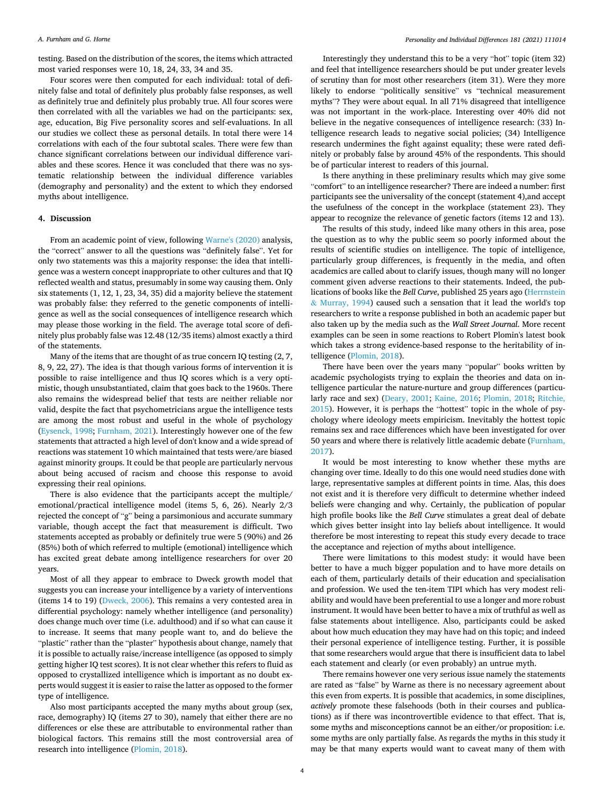testing. Based on the distribution of the scores, the items which attracted most varied responses were 10, 18, 24, 33, 34 and 35.

Four scores were then computed for each individual: total of definitely false and total of definitely plus probably false responses, as well as definitely true and definitely plus probably true. All four scores were then correlated with all the variables we had on the participants: sex, age, education, Big Five personality scores and self-evaluations. In all our studies we collect these as personal details. In total there were 14 correlations with each of the four subtotal scales. There were few than chance significant correlations between our individual difference variables and these scores. Hence it was concluded that there was no systematic relationship between the individual difference variables (demography and personality) and the extent to which they endorsed myths about intelligence.

#### **4. Discussion**

From an academic point of view, following [Warne's \(2020\)](#page-5-0) analysis, the "correct" answer to all the questions was "definitely false". Yet for only two statements was this a majority response: the idea that intelligence was a western concept inappropriate to other cultures and that IQ reflected wealth and status, presumably in some way causing them. Only six statements (1, 12, 1, 23, 34, 35) did a majority believe the statement was probably false: they referred to the genetic components of intelligence as well as the social consequences of intelligence research which may please those working in the field. The average total score of definitely plus probably false was 12.48 (12/35 items) almost exactly a third of the statements.

Many of the items that are thought of as true concern IQ testing (2, 7, 8, 9, 22, 27). The idea is that though various forms of intervention it is possible to raise intelligence and thus IQ scores which is a very optimistic, though unsubstantiated, claim that goes back to the 1960s. There also remains the widespread belief that tests are neither reliable nor valid, despite the fact that psychometricians argue the intelligence tests are among the most robust and useful in the whole of psychology ([Eysenck, 1998; Furnham, 2021\)](#page-4-0). Interestingly however one of the few statements that attracted a high level of don't know and a wide spread of reactions was statement 10 which maintained that tests were/are biased against minority groups. It could be that people are particularly nervous about being accused of racism and choose this response to avoid expressing their real opinions.

There is also evidence that the participants accept the multiple/ emotional/practical intelligence model (items 5, 6, 26). Nearly 2/3 rejected the concept of "g" being a parsimonious and accurate summary variable, though accept the fact that measurement is difficult. Two statements accepted as probably or definitely true were 5 (90%) and 26 (85%) both of which referred to multiple (emotional) intelligence which has excited great debate among intelligence researchers for over 20 years.

Most of all they appear to embrace to Dweck growth model that suggests you can increase your intelligence by a variety of interventions (items 14 to 19) ([Dweck, 2006](#page-4-0)). This remains a very contested area in differential psychology: namely whether intelligence (and personality) does change much over time (i.e. adulthood) and if so what can cause it to increase. It seems that many people want to, and do believe the "plastic" rather than the "plaster" hypothesis about change, namely that it is possible to actually raise/increase intelligence (as opposed to simply getting higher IQ test scores). It is not clear whether this refers to fluid as opposed to crystallized intelligence which is important as no doubt experts would suggest it is easier to raise the latter as opposed to the former type of intelligence.

Also most participants accepted the many myths about group (sex, race, demography) IQ (items 27 to 30), namely that either there are no differences or else these are attributable to environmental rather than biological factors. This remains still the most controversial area of research into intelligence [\(Plomin, 2018\)](#page-4-0).

Interestingly they understand this to be a very "hot" topic (item 32) and feel that intelligence researchers should be put under greater levels of scrutiny than for most other researchers (item 31). Were they more likely to endorse "politically sensitive" vs "technical measurement myths"? They were about equal. In all 71% disagreed that intelligence was not important in the work-place. Interesting over 40% did not believe in the negative consequences of intelligence research: (33) Intelligence research leads to negative social policies; (34) Intelligence research undermines the fight against equality; these were rated definitely or probably false by around 45% of the respondents. This should be of particular interest to readers of this journal.

Is there anything in these preliminary results which may give some "comfort" to an intelligence researcher? There are indeed a number: first participants see the universality of the concept (statement 4),and accept the usefulness of the concept in the workplace (statement 23). They appear to recognize the relevance of genetic factors (items 12 and 13).

The results of this study, indeed like many others in this area, pose the question as to why the public seem so poorly informed about the results of scientific studies on intelligence. The topic of intelligence, particularly group differences, is frequently in the media, and often academics are called about to clarify issues, though many will no longer comment given adverse reactions to their statements. Indeed, the publications of books like the *Bell Curve*, published 25 years ago [\(Herrnstein](#page-4-0)  & [Murray, 1994](#page-4-0)) caused such a sensation that it lead the world's top researchers to write a response published in both an academic paper but also taken up by the media such as the *Wall Street Journal*. More recent examples can be seen in some reactions to Robert Plomin's latest book which takes a strong evidence-based response to the heritability of intelligence ([Plomin, 2018\)](#page-4-0).

There have been over the years many "popular" books written by academic psychologists trying to explain the theories and data on intelligence particular the nature-nurture and group differences (particularly race and sex) ([Deary, 2001;](#page-4-0) [Kaine, 2016;](#page-4-0) [Plomin, 2018](#page-4-0); [Ritchie,](#page-4-0)  [2015\)](#page-4-0). However, it is perhaps the "hottest" topic in the whole of psychology where ideology meets empiricism. Inevitably the hottest topic remains sex and race differences which have been investigated for over 50 years and where there is relatively little academic debate ([Furnham,](#page-4-0)  [2017\)](#page-4-0).

It would be most interesting to know whether these myths are changing over time. Ideally to do this one would need studies done with large, representative samples at different points in time. Alas, this does not exist and it is therefore very difficult to determine whether indeed beliefs were changing and why. Certainly, the publication of popular high profile books like the *Bell Curve* stimulates a great deal of debate which gives better insight into lay beliefs about intelligence. It would therefore be most interesting to repeat this study every decade to trace the acceptance and rejection of myths about intelligence.

There were limitations to this modest study: it would have been better to have a much bigger population and to have more details on each of them, particularly details of their education and specialisation and profession. We used the ten-item TIPI which has very modest reliability and would have been preferential to use a longer and more robust instrument. It would have been better to have a mix of truthful as well as false statements about intelligence. Also, participants could be asked about how much education they may have had on this topic; and indeed their personal experience of intelligence testing. Further, it is possible that some researchers would argue that there is insufficient data to label each statement and clearly (or even probably) an untrue myth.

There remains however one very serious issue namely the statements are rated as "false" by Warne as there is no necessary agreement about this even from experts. It is possible that academics, in some disciplines, *actively* promote these falsehoods (both in their courses and publications) as if there was incontrovertible evidence to that effect. That is, some myths and misconceptions cannot be an either/or proposition: i.e. some myths are only partially false. As regards the myths in this study it may be that many experts would want to caveat many of them with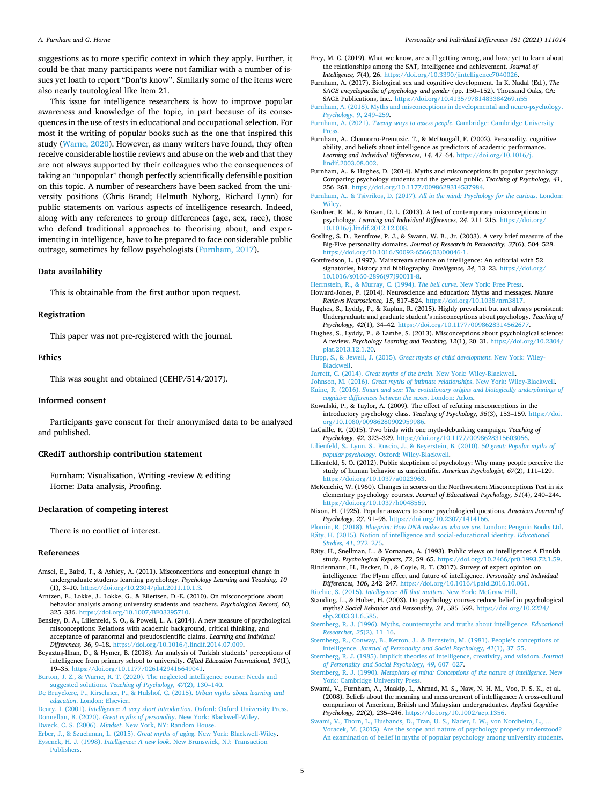#### <span id="page-4-0"></span>*A. Furnham and G. Horne*

suggestions as to more specific context in which they apply. Further, it could be that many participants were not familiar with a number of issues yet loath to report "Don'ts know". Similarly some of the items were also nearly tautological like item 21.

This issue for intelligence researchers is how to improve popular awareness and knowledge of the topic, in part because of its consequences in the use of tests in educational and occupational selection. For most it the writing of popular books such as the one that inspired this study ([Warne, 2020](#page-5-0)). However, as many writers have found, they often receive considerable hostile reviews and abuse on the web and that they are not always supported by their colleagues who the consequences of taking an "unpopular" though perfectly scientifically defensible position on this topic. A number of researchers have been sacked from the university positions (Chris Brand; Helmuth Nyborg, Richard Lynn) for public statements on various aspects of intelligence research. Indeed, along with any references to group differences (age, sex, race), those who defend traditional approaches to theorising about, and experimenting in intelligence, have to be prepared to face considerable public outrage, sometimes by fellow psychologists (Furnham, 2017).

#### **Data availability**

This is obtainable from the first author upon request.

#### **Registration**

This paper was not pre-registered with the journal.

#### **Ethics**

This was sought and obtained (CEHP/514/2017).

#### **Informed consent**

Participants gave consent for their anonymised data to be analysed and published.

#### **CRediT authorship contribution statement**

Furnham: Visualisation, Writing -review & editing Horne: Data analysis, Proofing.

## **Declaration of competing interest**

There is no conflict of interest.

#### **References**

- Amsel, E., Baird, T., & Ashley, A. (2011). Misconceptions and conceptual change in undergraduate students learning psychology. *Psychology Learning and Teaching, 10*  (1), 3–10. <https://doi.org/10.2304/plat.2011.10.1.3>.
- Arntzen, E., Lokke, J., Lokke, G., & Eilertsen, D.-E. (2010). On misconceptions about behavior analysis among university students and teachers. *Psychological Record, 60*, 325–336. [https://doi.org/10.1007/BF03395710.](https://doi.org/10.1007/BF03395710)
- Bensley, D. A., Lilienfeld, S. O., & Powell, L. A. (2014). A new measure of psychological misconceptions: Relations with academic background, critical thinking, and acceptance of paranormal and pseudoscientific claims. *Learning and Individual Differences, 36*, 9–18. [https://doi.org/10.1016/j.lindif.2014.07.009.](https://doi.org/10.1016/j.lindif.2014.07.009)
- Beyaztas-İlhan, D., & Hymer, B. (2018). An analysis of Turkish students' perceptions of intelligence from primary school to university. *Gifted Education International, 34*(1), 19–35. <https://doi.org/10.1177/0261429416649041>.
- [Burton, J. Z., & Warne, R. T. \(2020\). The neglected intelligence course: Needs and](http://refhub.elsevier.com/S0191-8869(21)00389-5/rf0030) suggested solutions. *[Teaching of Psychology, 47](http://refhub.elsevier.com/S0191-8869(21)00389-5/rf0030)*(2), 130–140.
- [De Bruyckere, P., Kirschner, P., & Hulshof, C. \(2015\).](http://refhub.elsevier.com/S0191-8869(21)00389-5/rf0040) *Urban myths about learning and education*[. London: Elsevier.](http://refhub.elsevier.com/S0191-8869(21)00389-5/rf0040)

Deary, I. (2001). *[Intelligence: A very short introduction](http://refhub.elsevier.com/S0191-8869(21)00389-5/rf0045)*. Oxford: Oxford University Press. Donnellan, B. (2020). *Great myths of personality*[. New York: Blackwell-Wiley](http://refhub.elsevier.com/S0191-8869(21)00389-5/rf0055). Dweck, C. S. (2006). *Mindset*[. New York, NY: Random House](http://refhub.elsevier.com/S0191-8869(21)00389-5/rf0060).

[Erber, J., & Szuchman, L. \(2015\).](http://refhub.elsevier.com/S0191-8869(21)00389-5/rf0065) *Great myths of aging*. New York: Blackwell-Wiley. Eysenck, H. J. (1998). *Intelligence: A new look*[. New Brunswick, NJ: Transaction](http://refhub.elsevier.com/S0191-8869(21)00389-5/rf0070)  [Publishers.](http://refhub.elsevier.com/S0191-8869(21)00389-5/rf0070)

- Frey, M. C. (2019). What we know, are still getting wrong, and have yet to learn about the relationships among the SAT, intelligence and achievement. *Journal of Intelligence, 7*(4), 26. [https://doi.org/10.3390/jintelligence7040026.](https://doi.org/10.3390/jintelligence7040026)
- Furnham, A. (2017). Biological sex and cognitive development. In K. Nadal (Ed.), *The SAGE encyclopaedia of psychology and gender* (pp. 150–152). Thousand Oaks, CA: SAGE Publications, Inc..<https://doi.org/10.4135/9781483384269.n55>
- [Furnham, A. \(2018\). Myths and misconceptions in developmental and neuro-psychology.](http://refhub.elsevier.com/S0191-8869(21)00389-5/rf0090)  *[Psychology, 9](http://refhub.elsevier.com/S0191-8869(21)00389-5/rf0090)*, 249–259.

Furnham, A. (2021). *Twenty ways to assess people*[. Cambridge: Cambridge University](http://refhub.elsevier.com/S0191-8869(21)00389-5/rf0095) [Press.](http://refhub.elsevier.com/S0191-8869(21)00389-5/rf0095)

- Furnham, A., Chamorro-Premuzic, T., & McDougall, F. (2002). Personality, cognitive ability, and beliefs about intelligence as predictors of academic performance. *Learning and Individual Differences, 14*, 47–64. [https://doi.org/10.1016/j.](https://doi.org/10.1016/j.lindif.2003.08.002)  [lindif.2003.08.002](https://doi.org/10.1016/j.lindif.2003.08.002).
- Furnham, A., & Hughes, D. (2014). Myths and misconceptions in popular psychology: Comparing psychology students and the general public. *Teaching of Psychology, 41*, 256–261. <https://doi.org/10.1177/0098628314537984>.
- Furnham, A., & Tsivrikos, D. (2017). *[All in the mind: Psychology for the curious](http://refhub.elsevier.com/S0191-8869(21)00389-5/rf0115)*. London: [Wiley.](http://refhub.elsevier.com/S0191-8869(21)00389-5/rf0115)
- Gardner, R. M., & Brown, D. L. (2013). A test of contemporary misconceptions in psychology. *Learning and Individual Differences, 24*, 211–215. [https://doi.org/](https://doi.org/10.1016/j.lindif.2012.12.008)  [10.1016/j.lindif.2012.12.008](https://doi.org/10.1016/j.lindif.2012.12.008).
- Gosling, S. D., Rentfrow, P. J., & Swann, W. B., Jr. (2003). A very brief measure of the Big-Five personality domains. *Journal of Research in Personality, 37*(6), 504–528. [https://doi.org/10.1016/S0092-6566\(03\)00046-1.](https://doi.org/10.1016/S0092-6566(03)00046-1)
- Gottfredson, L. (1997). Mainstream science on intelligence: An editorial with 52 signatories, history and bibliography. *Intelligence, 24*, 13–23. [https://doi.org/](https://doi.org/10.1016/s0160-2896(97)90011-8) [10.1016/s0160-2896\(97\)90011-8.](https://doi.org/10.1016/s0160-2896(97)90011-8)
- [Herrnstein, R., & Murray, C. \(1994\).](http://refhub.elsevier.com/S0191-8869(21)00389-5/rf0140) *The bell curve*. New York: Free Press. Howard-Jones, P. (2014). Neuroscience and education: Myths and messages. *Nature*

*Reviews Neuroscience, 15*, 817–824. [https://doi.org/10.1038/nrn3817.](https://doi.org/10.1038/nrn3817)

- Hughes, S., Lyddy, P., & Kaplan, R. (2015). Highly prevalent but not always persistent: Undergraduate and graduate student's misconceptions about psychology. *Teaching of Psychology, 42*(1), 34–42. [https://doi.org/10.1177/0098628314562677.](https://doi.org/10.1177/0098628314562677)
- Hughes, S., Lyddy, P., & Lambe, S. (2013). Misconceptions about psychological science: A review. *Psychology Learning and Teaching, 12*(1), 20–31. [https://doi.org/10.2304/](https://doi.org/10.2304/plat.2013.12.1.20)  [plat.2013.12.1.20.](https://doi.org/10.2304/plat.2013.12.1.20)
- Hupp, S., & Jewell, J. (2015). *[Great myths of child development](http://refhub.elsevier.com/S0191-8869(21)00389-5/rf0160)*. New York: Wiley-[Blackwell.](http://refhub.elsevier.com/S0191-8869(21)00389-5/rf0160)
- Jarrett, C. (2014). *Great myths of the brain*[. New York: Wiley-Blackwell](http://refhub.elsevier.com/S0191-8869(21)00389-5/rf0165).
- Johnson, M. (2016). *[Great myths of intimate relationships](http://refhub.elsevier.com/S0191-8869(21)00389-5/rf0175)*. New York: Wiley-Blackwell. Kaine, R. (2016). *[Smart and sex: The evolutionary origins and biologically underpinnings of](http://refhub.elsevier.com/S0191-8869(21)00389-5/rf0180)  [cognitive differences between the sexes](http://refhub.elsevier.com/S0191-8869(21)00389-5/rf0180)*. London: Arkos.
- Kowalski, P., & Taylor, A. (2009). The effect of refuting misconceptions in the introductory psychology class. *Teaching of Psychology, 36*(3), 153–159. [https://doi.](https://doi.org/10.1080/00986280902959986)  [org/10.1080/00986280902959986](https://doi.org/10.1080/00986280902959986).
- LaCaille, R. (2015). Two birds with one myth-debunking campaign. *Teaching of Psychology, 42*, 323–329. [https://doi.org/10.1177/0098628315603066.](https://doi.org/10.1177/0098628315603066)
- [Lilienfeld, S., Lynn, S., Ruscio, J., & Beyerstein, B. \(2010\).](http://refhub.elsevier.com/S0191-8869(21)00389-5/rf0195) *50 great: Popular myths of popular psychology*[. Oxford: Wiley-Blackwell.](http://refhub.elsevier.com/S0191-8869(21)00389-5/rf0195)
- Lilienfeld, S. O. (2012). Public skepticism of psychology: Why many people perceive the study of human behavior as unscientific. *American Psychologist, 67*(2), 111–129. [https://doi.org/10.1037/a0023963.](https://doi.org/10.1037/a0023963)
- McKeachie, W. (1960). Changes in scores on the Northwestern Misconceptions Test in six elementary psychology courses. *Journal of Educational Psychology, 51*(4), 240–244. <https://doi.org/10.1037/h0048569>.
- Nixon, H. (1925). Popular answers to some psychological questions. *American Journal of Psychology, 27*, 91–98.<https://doi.org/10.2307/1414166>.
- Plomin, R. (2018). *[Blueprint: How DNA makes us who we are](http://refhub.elsevier.com/S0191-8869(21)00389-5/rf0220)*. London: Penguin Books Ltd. Räty, H. (2015). Notion of intelligence and social-educational identity. *Educational [Studies, 41](http://refhub.elsevier.com/S0191-8869(21)00389-5/rf0225)*, 272–275.
- Räty, H., Snellman, L., & Vornanen, A. (1993). Public views on intelligence: A Finnish study. *Psychological Reports, 72*, 59–65. [https://doi.org/10.2466/pr0.1993.72.1.59.](https://doi.org/10.2466/pr0.1993.72.1.59)
- Rindermann, H., Becker, D., & Coyle, R. T. (2017). Survey of expert opinion on intelligence: The Flynn effect and future of intelligence. *Personality and Individual Differences, 106*, 242–247. <https://doi.org/10.1016/j.paid.2016.10.061>. Ritchie, S. (2015). *[Intelligence: All that matters](http://refhub.elsevier.com/S0191-8869(21)00389-5/rf0240)*. New York: McGraw Hill.
- Standing, L., & Huber, H. (2003). Do psychology courses reduce belief in psychological myths? *Social Behavior and Personality, 31*, 585–592. [https://doi.org/10.2224/](https://doi.org/10.2224/sbp.2003.31.6.585)  [sbp.2003.31.6.585](https://doi.org/10.2224/sbp.2003.31.6.585).
- [Sternberg, R. J. \(1996\). Myths, countermyths and truths about intelligence.](http://refhub.elsevier.com/S0191-8869(21)00389-5/rf0250) *Educational [Researcher, 25](http://refhub.elsevier.com/S0191-8869(21)00389-5/rf0250)*(2), 11–16.
- [Sternberg, R., Conway, B., Ketron, J., & Bernstein, M. \(1981\). People](http://refhub.elsevier.com/S0191-8869(21)00389-5/rf0255)'s conceptions of intelligence. *[Journal of Personality and Social Psychology, 41](http://refhub.elsevier.com/S0191-8869(21)00389-5/rf0255)*(1), 37–55.
- [Sternberg, R. J. \(1985\). Implicit theories of intelligence, creativity, and wisdom.](http://refhub.elsevier.com/S0191-8869(21)00389-5/rf0260) *Journal [of Personality and Social Psychology, 49](http://refhub.elsevier.com/S0191-8869(21)00389-5/rf0260)*, 607–627.
- Sternberg, R. J. (1990). *[Metaphors of mind: Conceptions of the nature of intelligence](http://refhub.elsevier.com/S0191-8869(21)00389-5/rf0265)*. New York: Cambridge University Pres
- Swami, V., Furnham, A., Maakip, I., Ahmad, M. S., Naw, N. H. M., Voo, P. S. K., et al. (2008). Beliefs about the meaning and measurement of intelligence: A cross-cultural comparison of American, British and Malaysian undergraduates. *Applied Cognitive Psychology, 22*(2), 235–246. [https://doi.org/10.1002/acp.1356.](https://doi.org/10.1002/acp.1356)
- [Swami, V., Thorn, L., Husbands, D., Tran, U. S., Nader, I. W., von Nordheim, L.,](http://refhub.elsevier.com/S0191-8869(21)00389-5/rf0280) . [Voracek, M. \(2015\). Are the scope and nature of psychology properly understood?](http://refhub.elsevier.com/S0191-8869(21)00389-5/rf0280) [An examination of belief in myths of popular psychology among university students.](http://refhub.elsevier.com/S0191-8869(21)00389-5/rf0280)